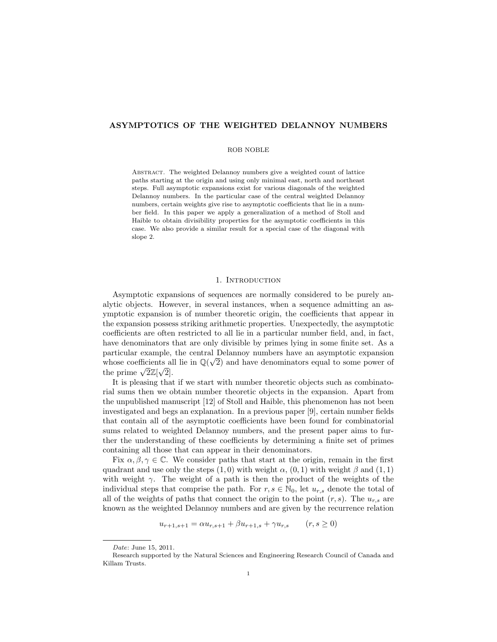# ASYMPTOTICS OF THE WEIGHTED DELANNOY NUMBERS

### ROB NOBLE

Abstract. The weighted Delannoy numbers give a weighted count of lattice paths starting at the origin and using only minimal east, north and northeast steps. Full asymptotic expansions exist for various diagonals of the weighted Delannoy numbers. In the particular case of the central weighted Delannoy numbers, certain weights give rise to asymptotic coefficients that lie in a number field. In this paper we apply a generalization of a method of Stoll and Haible to obtain divisibility properties for the asymptotic coefficients in this case. We also provide a similar result for a special case of the diagonal with slope 2.

## 1. INTRODUCTION

Asymptotic expansions of sequences are normally considered to be purely analytic objects. However, in several instances, when a sequence admitting an asymptotic expansion is of number theoretic origin, the coefficients that appear in the expansion possess striking arithmetic properties. Unexpectedly, the asymptotic coefficients are often restricted to all lie in a particular number field, and, in fact, have denominators that are only divisible by primes lying in some finite set. As a particular example, the central Delannoy numbers have an asymptotic expansion whose coefficients all lie in  $\mathbb{Q}(\sqrt{2})$  and have denominators equal to some power of whose coencients and<br>the prime  $\sqrt{2}\mathbb{Z}[\sqrt{2}].$ 

It is pleasing that if we start with number theoretic objects such as combinatorial sums then we obtain number theoretic objects in the expansion. Apart from the unpublished manuscript [12] of Stoll and Haible, this phenomenon has not been investigated and begs an explanation. In a previous paper [9], certain number fields that contain all of the asymptotic coefficients have been found for combinatorial sums related to weighted Delannoy numbers, and the present paper aims to further the understanding of these coefficients by determining a finite set of primes containing all those that can appear in their denominators.

Fix  $\alpha, \beta, \gamma \in \mathbb{C}$ . We consider paths that start at the origin, remain in the first quadrant and use only the steps  $(1, 0)$  with weight  $\alpha$ ,  $(0, 1)$  with weight  $\beta$  and  $(1, 1)$ with weight  $\gamma$ . The weight of a path is then the product of the weights of the individual steps that comprise the path. For  $r, s \in \mathbb{N}_0$ , let  $u_{r,s}$  denote the total of all of the weights of paths that connect the origin to the point  $(r, s)$ . The  $u_{r,s}$  are known as the weighted Delannoy numbers and are given by the recurrence relation

$$
u_{r+1,s+1} = \alpha u_{r,s+1} + \beta u_{r+1,s} + \gamma u_{r,s} \qquad (r,s \ge 0)
$$

Date: June 15, 2011.

Research supported by the Natural Sciences and Engineering Research Council of Canada and Killam Trusts.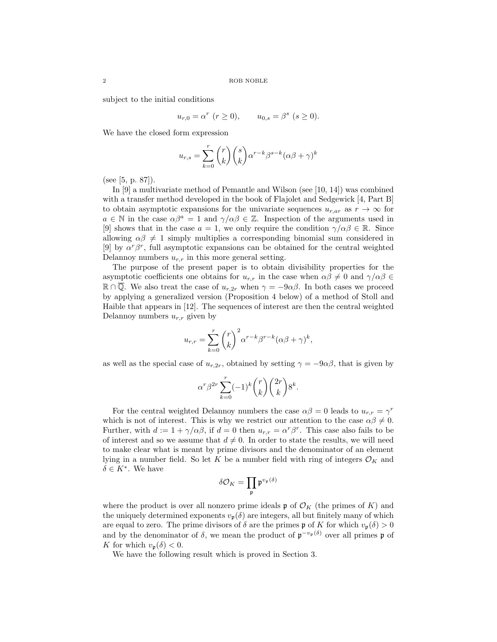subject to the initial conditions

$$
u_{r,0} = \alpha^r \ (r \ge 0), \qquad u_{0,s} = \beta^s \ (s \ge 0).
$$

We have the closed form expression

$$
u_{r,s} = \sum_{k=0}^{r} {r \choose k} {s \choose k} \alpha^{r-k} \beta^{s-k} (\alpha \beta + \gamma)^k
$$

(see [5, p. 87]).

In [9] a multivariate method of Pemantle and Wilson (see [10, 14]) was combined with a transfer method developed in the book of Flajolet and Sedgewick [4, Part B] to obtain asymptotic expansions for the univariate sequences  $u_{r,ar}$  as  $r \to \infty$  for  $a \in \mathbb{N}$  in the case  $\alpha \beta^a = 1$  and  $\gamma/\alpha \beta \in \mathbb{Z}$ . Inspection of the arguments used in [9] shows that in the case  $a = 1$ , we only require the condition  $\gamma/\alpha\beta \in \mathbb{R}$ . Since allowing  $\alpha\beta \neq 1$  simply multiplies a corresponding binomial sum considered in [9] by  $\alpha^r \beta^r$ , full asymptotic expansions can be obtained for the central weighted Delannoy numbers  $u_{r,r}$  in this more general setting.

The purpose of the present paper is to obtain divisibility properties for the asymptotic coefficients one obtains for  $u_{r,r}$  in the case when  $\alpha\beta \neq 0$  and  $\gamma/\alpha\beta \in$  $\mathbb{R} \cap \mathbb{Q}$ . We also treat the case of  $u_{r,2r}$  when  $\gamma = -9\alpha\beta$ . In both cases we proceed by applying a generalized version (Proposition 4 below) of a method of Stoll and Haible that appears in [12]. The sequences of interest are then the central weighted Delannoy numbers  $u_{r,r}$  given by

$$
u_{r,r} = \sum_{k=0}^{r} {r \choose k}^2 \alpha^{r-k} \beta^{r-k} (\alpha \beta + \gamma)^k,
$$

as well as the special case of  $u_{r,2r}$ , obtained by setting  $\gamma = -9\alpha\beta$ , that is given by

$$
\alpha^r \beta^{2r} \sum_{k=0}^r (-1)^k \binom{r}{k} \binom{2r}{k} 8^k.
$$

For the central weighted Delannoy numbers the case  $\alpha\beta = 0$  leads to  $u_{r,r} = \gamma^r$ which is not of interest. This is why we restrict our attention to the case  $\alpha\beta \neq 0$ . Further, with  $d := 1 + \gamma/\alpha\beta$ , if  $d = 0$  then  $u_{r,r} = \alpha^r \beta^r$ . This case also fails to be of interest and so we assume that  $d \neq 0$ . In order to state the results, we will need to make clear what is meant by prime divisors and the denominator of an element lying in a number field. So let K be a number field with ring of integers  $\mathcal{O}_K$  and  $\delta \in K^*$ . We have

$$
\delta\mathcal{O}_K=\prod_{\mathfrak{p}}\mathfrak{p}^{v_{\mathfrak{p}}(\delta)}
$$

where the product is over all nonzero prime ideals  $\mathfrak{p}$  of  $\mathcal{O}_K$  (the primes of K) and the uniquely determined exponents  $v_{\mathfrak{p}}(\delta)$  are integers, all but finitely many of which are equal to zero. The prime divisors of  $\delta$  are the primes p of K for which  $v_{\mathfrak{p}}(\delta) > 0$ and by the denominator of  $\delta$ , we mean the product of  $\mathfrak{p}^{-v_{\mathfrak{p}}(\delta)}$  over all primes  $\mathfrak{p}$  of K for which  $v_{p}(\delta) < 0$ .

We have the following result which is proved in Section 3.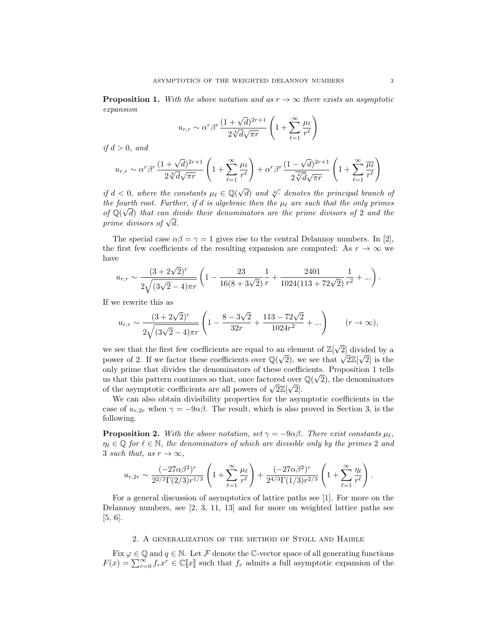**Proposition 1.** With the above notation and as  $r \rightarrow \infty$  there exists an asymptotic expansion

$$
u_{r,r} \sim \alpha^r \beta^r \frac{(1+\sqrt{d})^{2r+1}}{2\sqrt[4]{d}\sqrt{\pi r}} \left(1+\sum_{\ell=1}^{\infty} \frac{\mu_{\ell}}{r^{\ell}}\right)
$$

if  $d > 0$ , and

$$
u_{r,r} \sim \alpha^r \beta^r \frac{(1+\sqrt{d})^{2r+1}}{2\sqrt[4]{d}\sqrt{\pi r}} \left(1+\sum_{\ell=1}^{\infty} \frac{\mu_{\ell}}{r^{\ell}}\right) + \alpha^r \beta^r \frac{(1-\sqrt{d})^{2r+1}}{2\sqrt[4]{d}\sqrt{\pi r}} \left(1+\sum_{\ell=1}^{\infty} \frac{\overline{\mu_{\ell}}}{r^{\ell}}\right)
$$

if  $d < 0$ , where the constants  $\mu_{\ell} \in \mathbb{Q}(\sqrt{d})$  and  $\sqrt[4]{\cdot}$  denotes the principal branch of the fourth root. Further, if d is algebraic then the  $\mu_{\ell}$  are such that the only primes of  $\mathbb{Q}(\sqrt{d})$  that can divide their denominators are the prime divisors of 2 and the  $\omega$   $\psi(\sqrt{a})$  that can an order that  $\omega$ 

The special case  $\alpha\beta = \gamma = 1$  gives rise to the central Delannoy numbers. In [2], the first few coefficients of the resulting expansion are computed: As  $r \to \infty$  we have

$$
u_{r,r} \sim \frac{(3+2\sqrt{2})^r}{2\sqrt{(3\sqrt{2}-4)\pi r}} \left(1 - \frac{23}{16(8+3\sqrt{2})}\frac{1}{r} + \frac{2401}{1024(113+72\sqrt{2})}\frac{1}{r^2} + \ldots\right).
$$

If we rewrite this as

$$
u_{r,r} \sim \frac{(3+2\sqrt{2})^r}{2\sqrt{(3\sqrt{2}-4)\pi r}} \left(1 - \frac{8-3\sqrt{2}}{32r} + \frac{113-72\sqrt{2}}{1024r^2} + \ldots\right) \qquad (r \to \infty),
$$

we see that the first few coefficients are equal to an element of  $\mathbb{Z}[\sqrt{\ }$ an element of  $\mathbb{Z}[\sqrt{2}]$  divided by a we see that the first lew coefficients are equal to an element of  $\mathbb{Z}[\sqrt{2}]$  divided by a<br>power of 2. If we factor these coefficients over  $\mathbb{Q}(\sqrt{2})$ , we see that  $\sqrt{2}\mathbb{Z}[\sqrt{2}]$  is the only prime that divides the denominators of these coefficients. Proposition 1 tells √ us that this pattern continues so that, once factored over  $\mathbb{Q}(\sqrt{2})$ , the denominators dis that this pattern continues so that, once factored over<br>of the asymptotic coefficients are all powers of  $\sqrt{2}\mathbb{Z}[\sqrt{2}]$ .

We can also obtain divisibility properties for the asymptotic coefficients in the case of  $u_{r,2r}$  when  $\gamma = -9\alpha\beta$ . The result, which is also proved in Section 3, is the following.

**Proposition 2.** With the above notation, set  $\gamma = -9\alpha\beta$ . There exist constants  $\mu_{\ell}$ ,  $\eta_\ell \in \mathbb{Q}$  for  $\ell \in \mathbb{N}$ , the denominators of which are divisible only by the primes 2 and 3 such that, as  $r \to \infty$ ,

$$
u_{r,2r} \sim \frac{(-27\alpha\beta^2)^r}{2^{2/3}\Gamma(2/3)r^{1/3}} \left(1+\sum_{\ell=1}^{\infty} \frac{\mu_{\ell}}{r^{\ell}}\right) + \frac{(-27\alpha\beta^2)^r}{2^{4/3}\Gamma(1/3)r^{2/3}} \left(1+\sum_{\ell=1}^{\infty} \frac{\eta_{\ell}}{r^{\ell}}\right).
$$

For a general discussion of asymptotics of lattice paths see [1]. For more on the Delannoy numbers, see [2, 3, 11, 13] and for more on weighted lattice paths see [5, 6].

# 2. A generalization of the method of Stoll and Haible

Fix  $\varphi \in \mathbb{Q}$  and  $q \in \mathbb{N}$ . Let F denote the C-vector space of all generating functions  $F(x) = \sum_{r=0}^{\infty} f_r x^r \in \mathbb{C}[\![x]\!]$  such that  $f_r$  admits a full asymptotic expansion of the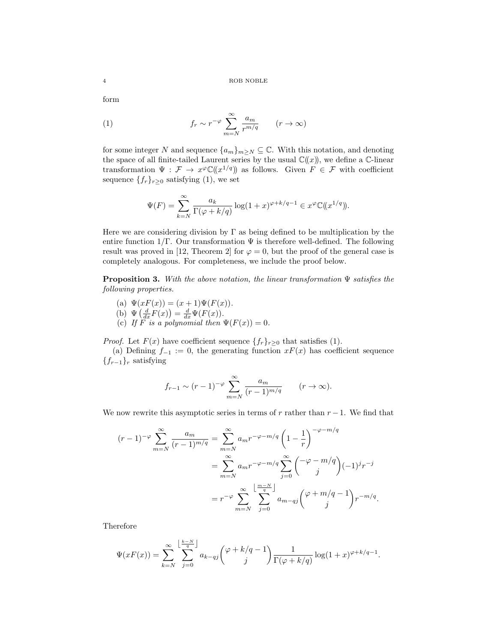form

(1) 
$$
f_r \sim r^{-\varphi} \sum_{m=N}^{\infty} \frac{a_m}{r^{m/q}} \qquad (r \to \infty)
$$

for some integer N and sequence  $\{a_m\}_{m\geq N}\subseteq\mathbb{C}$ . With this notation, and denoting the space of all finite-tailed Laurent series by the usual  $\mathbb{C}(\!(x)\!)$ , we define a  $\mathbb{C}\text{-linear}$ transformation  $\Psi : \mathcal{F} \to x^{\varphi} \mathbb{C}((x^{1/q}))$  as follows. Given  $F \in \mathcal{F}$  with coefficient sequence  $\{f_r\}_{r\geq 0}$  satisfying (1), we set

$$
\Psi(F) = \sum_{k=N}^{\infty} \frac{a_k}{\Gamma(\varphi + k/q)} \log(1+x)^{\varphi + k/q - 1} \in x^{\varphi} \mathbb{C}((x^{1/q})).
$$

Here we are considering division by  $\Gamma$  as being defined to be multiplication by the entire function  $1/\Gamma$ . Our transformation  $\Psi$  is therefore well-defined. The following result was proved in [12, Theorem 2] for  $\varphi = 0$ , but the proof of the general case is completely analogous. For completeness, we include the proof below.

**Proposition 3.** With the above notation, the linear transformation  $\Psi$  satisfies the following properties.

(a)  $\Psi(xF(x)) = (x+1)\Psi(F(x)).$ <br>(b)  $\Psi(A F(x)) = d \Psi(F(x)).$ 

(b) 
$$
\Psi\left(\frac{d}{dx}F(x)\right) = \frac{d}{dx}\Psi(F(x)).
$$

(c) If F is a polynomial then  $\Psi(F(x)) = 0$ .

*Proof.* Let  $F(x)$  have coefficient sequence  $\{f_r\}_{r\geq 0}$  that satisfies (1).

(a) Defining  $f_{-1} := 0$ , the generating function  $xF(x)$  has coefficient sequence  ${f_{r-1}}_r$  satisfying

$$
f_{r-1} \sim (r-1)^{-\varphi} \sum_{m=N}^{\infty} \frac{a_m}{(r-1)^{m/q}}
$$
  $(r \to \infty).$ 

We now rewrite this asymptotic series in terms of r rather than  $r - 1$ . We find that

$$
(r-1)^{-\varphi} \sum_{m=N}^{\infty} \frac{a_m}{(r-1)^{m/q}} = \sum_{m=N}^{\infty} a_m r^{-\varphi - m/q} \left( 1 - \frac{1}{r} \right)^{-\varphi - m/q}
$$
  
= 
$$
\sum_{m=N}^{\infty} a_m r^{-\varphi - m/q} \sum_{j=0}^{\infty} {\left( -\varphi - m/q \right) \choose j} (-1)^j r^{-j}
$$
  
= 
$$
r^{-\varphi} \sum_{m=N}^{\infty} \sum_{j=0}^{\lfloor \frac{m-N}{q} \rfloor} a_{m-qj} {\left( \varphi + m/q - 1 \right) \choose j} r^{-m/q}.
$$

Therefore

$$
\Psi(xF(x)) = \sum_{k=N}^{\infty} \sum_{j=0}^{\left\lfloor \frac{k-N}{q} \right\rfloor} a_{k-qj} \binom{\varphi+k/q-1}{j} \frac{1}{\Gamma(\varphi+k/q)} \log(1+x)^{\varphi+k/q-1}.
$$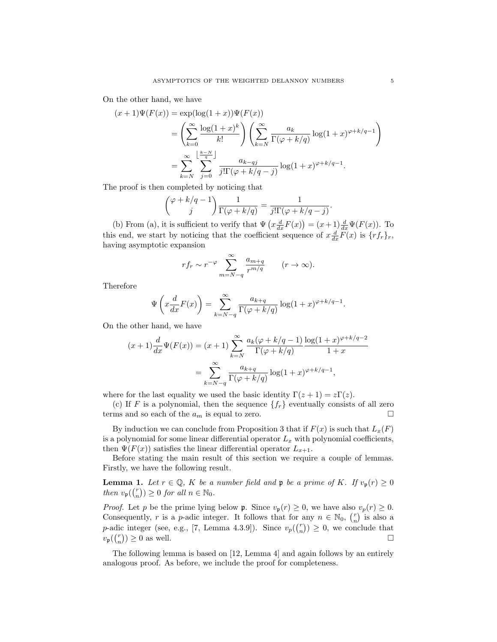On the other hand, we have

$$
(x+1)\Psi(F(x)) = \exp(\log(1+x))\Psi(F(x))
$$
  
= 
$$
\left(\sum_{k=0}^{\infty} \frac{\log(1+x)^k}{k!} \right) \left(\sum_{k=N}^{\infty} \frac{a_k}{\Gamma(\varphi + k/q)} \log(1+x)^{\varphi + k/q - 1} \right)
$$
  
= 
$$
\sum_{k=N}^{\infty} \sum_{j=0}^{\lfloor \frac{k-N}{q} \rfloor} \frac{a_{k-qj}}{j!\Gamma(\varphi + k/q - j)} \log(1+x)^{\varphi + k/q - 1}.
$$

The proof is then completed by noticing that

$$
{\varphi + k/q - 1 \choose j} \frac{1}{\Gamma(\varphi + k/q)} = \frac{1}{j! \Gamma(\varphi + k/q - j)}.
$$

(b) From (a), it is sufficient to verify that  $\Psi\left(x\frac{d}{dx}F(x)\right) = (x+1)\frac{d}{dx}\Psi(F(x))$ . To this end, we start by noticing that the coefficient sequence of  $x \frac{d}{dx} F(x)$  is  $\{r f_r\}_r$ , having asymptotic expansion

$$
rf_r \sim r^{-\varphi} \sum_{m=N-q}^{\infty} \frac{a_{m+q}}{r^{m/q}}
$$
  $(r \to \infty).$ 

Therefore

$$
\Psi\left(x\frac{d}{dx}F(x)\right) = \sum_{k=N-q}^{\infty} \frac{a_{k+q}}{\Gamma(\varphi+k/q)} \log(1+x)^{\varphi+k/q-1}.
$$

On the other hand, we have

$$
(x+1)\frac{d}{dx}\Psi(F(x)) = (x+1)\sum_{k=N}^{\infty} \frac{a_k(\varphi + k/q - 1)}{\Gamma(\varphi + k/q)} \frac{\log(1+x)^{\varphi + k/q - 2}}{1+x}
$$

$$
= \sum_{k=N-q}^{\infty} \frac{a_{k+q}}{\Gamma(\varphi + k/q)} \log(1+x)^{\varphi + k/q - 1},
$$

where for the last equality we used the basic identity  $\Gamma(z+1) = z\Gamma(z)$ .

(c) If F is a polynomial, then the sequence  $\{f_r\}$  eventually consists of all zero terms and so each of the  $a_m$  is equal to zero.

By induction we can conclude from Proposition 3 that if  $F(x)$  is such that  $L_x(F)$ is a polynomial for some linear differential operator  $L_x$  with polynomial coefficients, then  $\Psi(F(x))$  satisfies the linear differential operator  $L_{x+1}$ .

Before stating the main result of this section we require a couple of lemmas. Firstly, we have the following result.

**Lemma 1.** Let  $r \in \mathbb{Q}$ , K be a number field and  $\mathfrak{p}$  be a prime of K. If  $v_{\mathfrak{p}}(r) \geq 0$ then  $v_{\mathfrak{p}}(\binom{r}{n}) \geq 0$  for all  $n \in \mathbb{N}_0$ .

*Proof.* Let p be the prime lying below  $\mathfrak{p}$ . Since  $v_{\mathfrak{p}}(r) \geq 0$ , we have also  $v_{p}(r) \geq 0$ . Consequently, r is a p-adic integer. It follows that for any  $n \in \mathbb{N}_0$ ,  $\binom{r}{n}$  is also a p-adic integer (see, e.g., [7, Lemma 4.3.9]). Since  $v_p(\binom{r}{n}) \geq 0$ , we conclude that  $v_{\mathfrak{p}}(\binom{r}{n}) \geq 0$  as well.

The following lemma is based on [12, Lemma 4] and again follows by an entirely analogous proof. As before, we include the proof for completeness.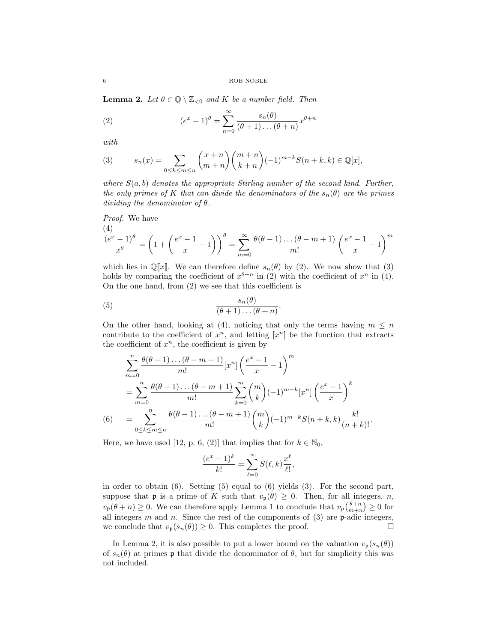**Lemma 2.** Let  $\theta \in \mathbb{Q} \setminus \mathbb{Z}_{\leq 0}$  and K be a number field. Then

(2) 
$$
(e^x - 1)^{\theta} = \sum_{n=0}^{\infty} \frac{s_n(\theta)}{(\theta + 1) \dots (\theta + n)} x^{\theta + n}
$$

with

(3) 
$$
s_n(x) = \sum_{0 \le k \le m \le n} {x+n \choose m+n} {m+n \choose k+n} (-1)^{m-k} S(n+k, k) \in \mathbb{Q}[x],
$$

where  $S(a, b)$  denotes the appropriate Stirling number of the second kind. Further, the only primes of K that can divide the denominators of the  $s_n(\theta)$  are the primes dividing the denominator of  $\theta$ .

*Proof.* We have  
\n
$$
\frac{(4)}{x^{\theta}} = \left(1 + \left(\frac{e^x - 1}{x} - 1\right)\right)^{\theta} = \sum_{m=0}^{\infty} \frac{\theta(\theta - 1) \dots (\theta - m + 1)}{m!} \left(\frac{e^x - 1}{x} - 1\right)^m
$$

which lies in  $\mathbb{Q}[x]$ . We can therefore define  $s_n(\theta)$  by (2). We now show that (3) holds by comparing the coefficient of  $x^{\theta+n}$  in (2) with the coefficient of  $x^n$  in (4). On the one hand, from (2) we see that this coefficient is

(5) 
$$
\frac{s_n(\theta)}{(\theta+1)\dots(\theta+n)}.
$$

On the other hand, looking at (4), noticing that only the terms having  $m \leq n$ contribute to the coefficient of  $x^n$ , and letting  $[x^n]$  be the function that extracts the coefficient of  $x^n$ , the coefficient is given by

$$
\sum_{m=0}^{n} \frac{\theta(\theta-1)\dots(\theta-m+1)}{m!} [x^n] \left(\frac{e^x-1}{x}-1\right)^m
$$
  
= 
$$
\sum_{m=0}^{n} \frac{\theta(\theta-1)\dots(\theta-m+1)}{m!} \sum_{k=0}^{m} {m \choose k} (-1)^{m-k} [x^n] \left(\frac{e^x-1}{x}\right)^k
$$
  
(6) = 
$$
\sum_{0 \le k \le m \le n} \frac{\theta(\theta-1)\dots(\theta-m+1)}{m!} {m \choose k} (-1)^{m-k} S(n+k,k) \frac{k!}{(n+k)!}.
$$

Here, we have used [12, p. 6, (2)] that implies that for  $k \in \mathbb{N}_0$ ,

$$
\frac{(e^x - 1)^k}{k!} = \sum_{\ell=0}^{\infty} S(\ell, k) \frac{x^{\ell}}{\ell!},
$$

in order to obtain (6). Setting (5) equal to (6) yields (3). For the second part, suppose that **p** is a prime of K such that  $v_p(\theta) \geq 0$ . Then, for all integers, *n*,  $v_{\mathfrak{p}}(\theta + n) \geq 0$ . We can therefore apply Lemma 1 to conclude that  $v_p\binom{\theta + n}{m+n} \geq 0$  for all integers  $m$  and  $n$ . Since the rest of the components of  $(3)$  are  $p$ -adic integers, we conclude that  $v_{\mathfrak{p}}(s_n(\theta)) \geq 0$ . This completes the proof.

In Lemma 2, it is also possible to put a lower bound on the valuation  $v_{\mathfrak{p}}(s_n(\theta))$ of  $s_n(\theta)$  at primes p that divide the denominator of  $\theta$ , but for simplicity this was not included.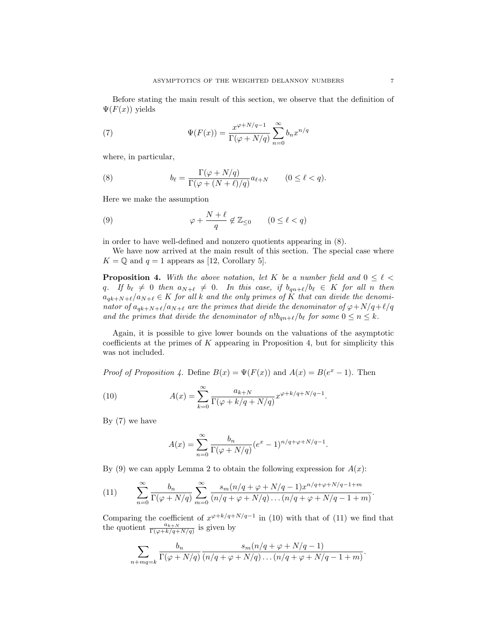Before stating the main result of this section, we observe that the definition of  $\Psi(F(x))$  yields

(7) 
$$
\Psi(F(x)) = \frac{x^{\varphi + N/q - 1}}{\Gamma(\varphi + N/q)} \sum_{n=0}^{\infty} b_n x^{n/q}
$$

where, in particular,

(8) 
$$
b_{\ell} = \frac{\Gamma(\varphi + N/q)}{\Gamma(\varphi + (N + \ell)/q)} a_{\ell+N} \qquad (0 \leq \ell < q).
$$

Here we make the assumption

(9) 
$$
\varphi + \frac{N+\ell}{q} \notin \mathbb{Z}_{\leq 0} \qquad (0 \leq \ell < q)
$$

in order to have well-defined and nonzero quotients appearing in (8).

We have now arrived at the main result of this section. The special case where  $K = \mathbb{Q}$  and  $q = 1$  appears as [12, Corollary 5].

**Proposition 4.** With the above notation, let K be a number field and  $0 \le \ell$ q. If  $b_{\ell} \neq 0$  then  $a_{N+\ell} \neq 0$ . In this case, if  $b_{qn+\ell}/b_{\ell} \in K$  for all n then  $a_{qk+N+\ell}/a_{N+\ell} \in K$  for all k and the only primes of K that can divide the denominator of  $a_{qk+N+\ell}/a_{N+\ell}$  are the primes that divide the denominator of  $\varphi+N/q+\ell/q$ and the primes that divide the denominator of  $n!b_{qn+\ell}/b_\ell$  for some  $0 \le n \le k$ .

Again, it is possible to give lower bounds on the valuations of the asymptotic coefficients at the primes of  $K$  appearing in Proposition 4, but for simplicity this was not included.

*Proof of Proposition 4.* Define  $B(x) = \Psi(F(x))$  and  $A(x) = B(e^x - 1)$ . Then

(10) 
$$
A(x) = \sum_{k=0}^{\infty} \frac{a_{k+N}}{\Gamma(\varphi + k/q + N/q)} x^{\varphi + k/q + N/q - 1}.
$$

By (7) we have

$$
A(x) = \sum_{n=0}^{\infty} \frac{b_n}{\Gamma(\varphi + N/q)} (e^x - 1)^{n/q + \varphi + N/q - 1}.
$$

By (9) we can apply Lemma 2 to obtain the following expression for  $A(x)$ :

(11) 
$$
\sum_{n=0}^{\infty} \frac{b_n}{\Gamma(\varphi + N/q)} \sum_{m=0}^{\infty} \frac{s_m (n/q + \varphi + N/q - 1) x^{n/q + \varphi + N/q - 1 + m}}{(n/q + \varphi + N/q) \dots (n/q + \varphi + N/q - 1 + m)}.
$$

Comparing the coefficient of  $x^{\varphi+k/q+N/q-1}$  in (10) with that of (11) we find that the quotient  $\frac{a_{k+N}}{\Gamma(\varphi+k/q+N/q)}$  is given by

$$
\sum_{n+mq=k} \frac{b_n}{\Gamma(\varphi+N/q)} \frac{s_m(n/q+\varphi+N/q-1)}{(n/q+\varphi+N/q)...(n/q+\varphi+N/q-1+m)}.
$$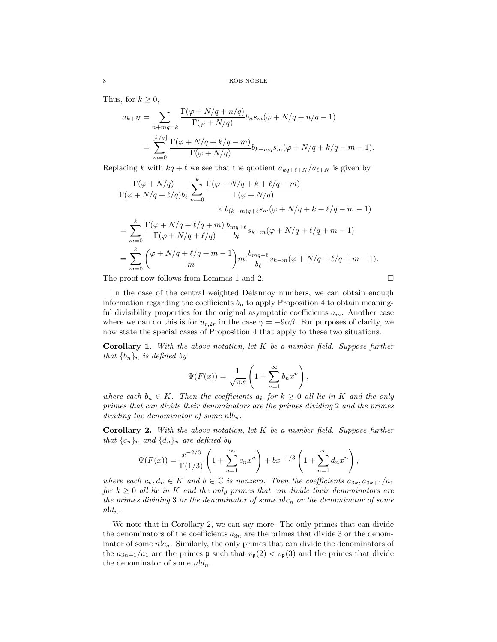Thus, for  $k \geq 0$ ,

$$
a_{k+N} = \sum_{n+mq=k} \frac{\Gamma(\varphi + N/q + n/q)}{\Gamma(\varphi + N/q)} b_n s_m(\varphi + N/q + n/q - 1)
$$
  
= 
$$
\sum_{m=0}^{\lfloor k/q \rfloor} \frac{\Gamma(\varphi + N/q + k/q - m)}{\Gamma(\varphi + N/q)} b_{k-mq} s_m(\varphi + N/q + k/q - m - 1).
$$

Replacing k with  $kq + \ell$  we see that the quotient  $a_{kq+\ell+N} / a_{\ell+N}$  is given by

$$
\frac{\Gamma(\varphi + N/q)}{\Gamma(\varphi + N/q + \ell/q)b_{\ell}} \sum_{m=0}^{k} \frac{\Gamma(\varphi + N/q + k + \ell/q - m)}{\Gamma(\varphi + N/q)} \times b_{(k-m)q + \ell} s_m(\varphi + N/q + k + \ell/q - m - 1)
$$
\n
$$
= \sum_{m=0}^{k} \frac{\Gamma(\varphi + N/q + \ell/q + m)}{\Gamma(\varphi + N/q + \ell/q)} \frac{b_{mq + \ell}}{b_{\ell}} s_{k-m}(\varphi + N/q + \ell/q + m - 1)
$$
\n
$$
= \sum_{m=0}^{k} {\varphi + N/q + \ell/q + m - 1 \choose m} m! \frac{b_{mq + \ell}}{b_{\ell}} s_{k-m}(\varphi + N/q + \ell/q + m - 1).
$$

The proof now follows from Lemmas 1 and 2.

In the case of the central weighted Delannoy numbers, we can obtain enough information regarding the coefficients  $b_n$  to apply Proposition 4 to obtain meaningful divisibility properties for the original asymptotic coefficients  $a_m$ . Another case where we can do this is for  $u_{r,2r}$  in the case  $\gamma = -9\alpha\beta$ . For purposes of clarity, we now state the special cases of Proposition 4 that apply to these two situations.

**Corollary 1.** With the above notation, let  $K$  be a number field. Suppose further that  $\{b_n\}_n$  is defined by

$$
\Psi(F(x)) = \frac{1}{\sqrt{\pi x}} \left( 1 + \sum_{n=1}^{\infty} b_n x^n \right),
$$

where each  $b_n \in K$ . Then the coefficients  $a_k$  for  $k \geq 0$  all lie in K and the only primes that can divide their denominators are the primes dividing 2 and the primes dividing the denominator of some  $n!b_n$ .

**Corollary 2.** With the above notation, let  $K$  be a number field. Suppose further that  $\{c_n\}_n$  and  $\{d_n\}_n$  are defined by

$$
\Psi(F(x)) = \frac{x^{-2/3}}{\Gamma(1/3)} \left( 1 + \sum_{n=1}^{\infty} c_n x^n \right) + bx^{-1/3} \left( 1 + \sum_{n=1}^{\infty} d_n x^n \right),
$$

where each  $c_n, d_n \in K$  and  $b \in \mathbb{C}$  is nonzero. Then the coefficients  $a_{3k}, a_{3k+1}/a_1$ for  $k \geq 0$  all lie in K and the only primes that can divide their denominators are the primes dividing 3 or the denominator of some  $n!c_n$  or the denominator of some  $n!d_n$ .

We note that in Corollary 2, we can say more. The only primes that can divide the denominators of the coefficients  $a_{3n}$  are the primes that divide 3 or the denominator of some  $n!c_n$ . Similarly, the only primes that can divide the denominators of the  $a_{3n+1}/a_1$  are the primes  $\mathfrak p$  such that  $v_{\mathfrak p}(2) < v_{\mathfrak p}(3)$  and the primes that divide the denominator of some  $n!d_n$ .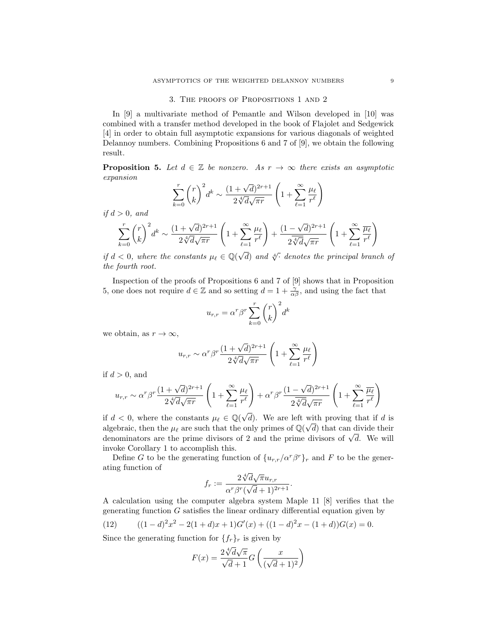### 3. The proofs of Propositions 1 and 2

In [9] a multivariate method of Pemantle and Wilson developed in [10] was combined with a transfer method developed in the book of Flajolet and Sedgewick [4] in order to obtain full asymptotic expansions for various diagonals of weighted Delannoy numbers. Combining Propositions 6 and 7 of [9], we obtain the following result.

**Proposition 5.** Let  $d \in \mathbb{Z}$  be nonzero. As  $r \to \infty$  there exists an asymptotic expansion

$$
\sum_{k=0}^{r} {r \choose k}^2 d^k \sim \frac{(1+\sqrt{d})^{2r+1}}{2\sqrt[4]{d}\sqrt{\pi r}} \left(1 + \sum_{\ell=1}^{\infty} \frac{\mu_{\ell}}{r^{\ell}}\right)
$$

if  $d > 0$ , and

$$
\sum_{k=0}^r \binom{r}{k}^2 d^k \sim \frac{(1+\sqrt{d})^{2r+1}}{2\sqrt[4]{d}\sqrt{\pi r}}\left(1+\sum_{\ell=1}^\infty \frac{\mu_\ell}{r^\ell}\right) + \frac{(1-\sqrt{d})^{2r+1}}{2\overline{\sqrt[4]{d}}\sqrt{\pi r}}\left(1+\sum_{\ell=1}^\infty \frac{\overline{\mu_\ell}}{r^\ell}\right)
$$

if  $d < 0$ , where the constants  $\mu_{\ell} \in \mathbb{Q}(\sqrt{d})$  and  $\sqrt[4]{\cdot}$  denotes the principal branch of the fourth root.

Inspection of the proofs of Propositions 6 and 7 of [9] shows that in Proposition 5, one does not require  $d \in \mathbb{Z}$  and so setting  $d = 1 + \frac{\gamma}{\alpha \beta}$ , and using the fact that

$$
u_{r,r} = \alpha^r \beta^r \sum_{k=0}^r \binom{r}{k}^2 d^k
$$

we obtain, as  $r \to \infty$ ,

$$
u_{r,r} \sim \alpha^r \beta^r \frac{(1+\sqrt{d})^{2r+1}}{2\sqrt[4]{d}\sqrt{\pi r}} \left(1+\sum_{\ell=1}^{\infty} \frac{\mu_{\ell}}{r^{\ell}}\right)
$$

if  $d > 0$ , and

$$
u_{r,r} \sim \alpha^r \beta^r \frac{(1+\sqrt{d})^{2r+1}}{2\sqrt[4]{d}\sqrt{\pi r}} \left(1+\sum_{\ell=1}^{\infty} \frac{\mu_{\ell}}{r^{\ell}}\right) + \alpha^r \beta^r \frac{(1-\sqrt{d})^{2r+1}}{2\sqrt[4]{d}\sqrt{\pi r}} \left(1+\sum_{\ell=1}^{\infty} \frac{\overline{\mu_{\ell}}}{r^{\ell}}\right)
$$

if  $d < 0$ , where the constants  $\mu_{\ell} \in \mathbb{Q}(\sqrt{\ell})$ d). We are left with proving that if d is algebraic, then the  $\mu_{\ell}$  are such that the only primes of  $\mathbb{Q}(\sqrt{d})$  that can divide their algebraic, then the  $\mu_{\ell}$  are such that the only primes of  $\mathcal{Q}(\nabla u)$  that can divide their<br>denominators are the prime divisors of 2 and the prime divisors of  $\sqrt{d}$ . We will invoke Corollary 1 to accomplish this.

Define G to be the generating function of  $\{u_{r,r}/\alpha^r\beta^r\}_r$  and F to be the generating function of  $\frac{4}{ }$ √

$$
f_r := \frac{2\sqrt[4]{d\sqrt{\pi}}u_{r,r}}{\alpha^r\beta^r(\sqrt{d}+1)^{2r+1}}.
$$

A calculation using the computer algebra system Maple 11 [8] verifies that the generating function G satisfies the linear ordinary differential equation given by

(12) 
$$
((1-d)^2x^2 - 2(1+d)x + 1)G'(x) + ((1-d)^2x - (1+d))G(x) = 0.
$$

Since the generating function for  $\{f_r\}_r$  is given by

$$
F(x) = \frac{2\sqrt[4]{d}\sqrt{\pi}}{\sqrt{d}+1}G\left(\frac{x}{(\sqrt{d}+1)^2}\right)
$$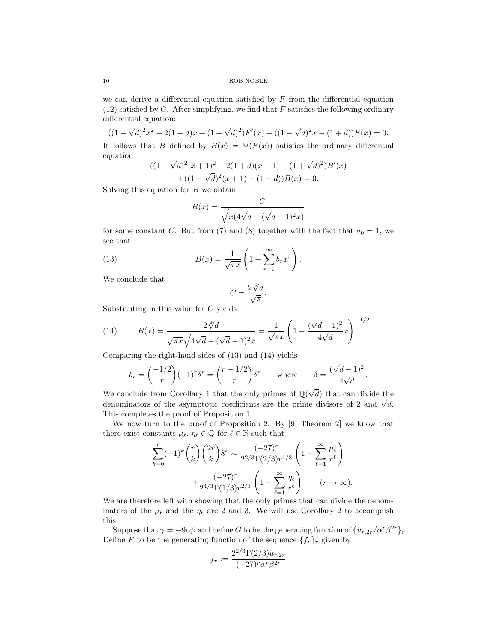10 ROB NOBLE

we can derive a differential equation satisfied by  $F$  from the differential equation  $(12)$  satisfied by G. After simplifying, we find that F satisfies the following ordinary differential equation: √ √

 $((1 \frac{d}{dt} \left[2x^2 - 2(1+d)x + (1+\sqrt{d})^2\right]F'(x) + ((1-d)^2)F'(x)$  $\overline{d})^2x - (1+d)F(x) = 0.$ It follows that B defined by  $B(x) = \Psi(F(x))$  satisfies the ordinary differential equation √

$$
((1 - \sqrt{d})^2(x+1)^2 - 2(1+d)(x+1) + (1 + \sqrt{d})^2)B'(x)
$$
  
 
$$
+ ((1 - \sqrt{d})^2(x+1) - (1+d))B(x) = 0.
$$

Solving this equation for  $B$  we obtain

$$
B(x) = \frac{C}{\sqrt{x(4\sqrt{d} - (\sqrt{d} - 1)^2 x)}}
$$

for some constant C. But from (7) and (8) together with the fact that  $a_0 = 1$ , we see that

(13) 
$$
B(x) = \frac{1}{\sqrt{\pi x}} \left( 1 + \sum_{r=1}^{\infty} b_r x^r \right).
$$

We conclude that

$$
C = \frac{2\sqrt[4]{d}}{\sqrt{\pi}}.
$$

Substituting in this value for C yields

(14) 
$$
B(x) = \frac{2\sqrt[4]{d}}{\sqrt{\pi x}\sqrt{4\sqrt{d} - (\sqrt{d} - 1)^2 x}} = \frac{1}{\sqrt{\pi x}} \left(1 - \frac{(\sqrt{d} - 1)^2}{4\sqrt{d}}x\right)^{-1/2}.
$$

Comparing the right-hand sides of (13) and (14) yields

$$
b_r = \binom{-1/2}{r} (-1)^r \delta^r = \binom{r-1/2}{r} \delta^r \quad \text{where} \quad \delta = \frac{(\sqrt{d}-1)^2}{4\sqrt{d}}.
$$

We conclude from Corollary 1 that the only primes of  $\mathbb{Q}(\sqrt{\mathbb{Q}(\sqrt{\mathbb{Q}(\sqrt{\mathbb{Q}(\sqrt{\mathbb{Q}(\sqrt{\mathbb{Q}(\sqrt{\mathbb{Q}(\sqrt{\mathbb{Q}(\sqrt{\mathbb{Q}(\sqrt{\mathbb{Q}(\sqrt{\mathbb{Q}(\sqrt{\mathbb{Q}(\sqrt{\mathbb{Q}(\sqrt{\mathbb{Q}(\sqrt{\mathbb{Q}(\mathbb{Q}(\sqrt{\mathbb{Q}(\mathbb{Q}(\sqrt{\mathbb{Q}(\sqrt{\mathbb{Q}(\sqrt{\mathbb{Q}(\mathbb{Q$ d) that can divide the we conclude from Coronary 1 that the only primes of  $\mathbb{Q}(\nabla u)$  that can divide the denominators of the asymptotic coefficients are the prime divisors of 2 and  $\sqrt{d}$ . This completes the proof of Proposition 1.

We now turn to the proof of Proposition 2. By [9, Theorem 2] we know that there exist constants  $\mu_{\ell}, \eta_{\ell} \in \mathbb{Q}$  for  $\ell \in \mathbb{N}$  such that

$$
\sum_{k=0}^{r} (-1)^{k} {r \choose k} {2r \choose k} 8^{k} \sim \frac{(-27)^{r}}{2^{2/3} \Gamma(2/3) r^{1/3}} \left(1 + \sum_{\ell=1}^{\infty} \frac{\mu_{\ell}}{r^{\ell}}\right) + \frac{(-27)^{r}}{2^{4/3} \Gamma(1/3) r^{2/3}} \left(1 + \sum_{\ell=1}^{\infty} \frac{\eta_{\ell}}{r^{\ell}}\right) \qquad (r \to \infty).
$$

We are therefore left with showing that the only primes that can divide the denominators of the  $\mu_{\ell}$  and the  $\eta_{\ell}$  are 2 and 3. We will use Corollary 2 to accomplish this.

Suppose that  $\gamma = -9\alpha\beta$  and define G to be the generating function of  $\{u_{r,2r}/\alpha^r\beta^{2r}\}_r$ . Define F to be the generating function of the sequence  $\{f_r\}_r$  given by

$$
f_r := \frac{2^{2/3} \Gamma(2/3) u_{r,2r}}{(-27)^r \alpha^r \beta^{2r}}
$$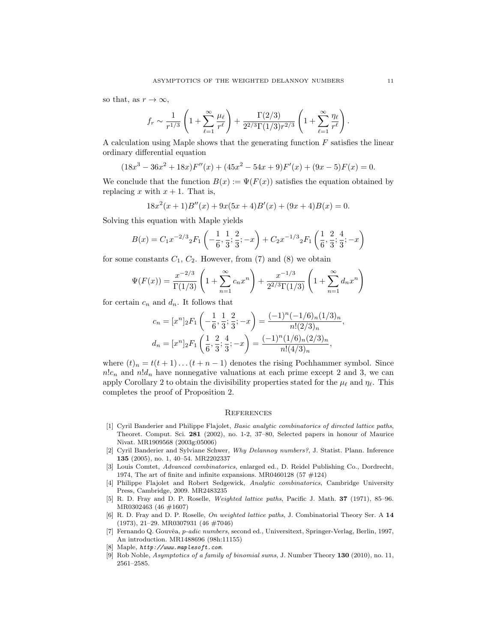so that, as  $r \to \infty$ ,

$$
f_r \sim \frac{1}{r^{1/3}} \left( 1 + \sum_{\ell=1}^{\infty} \frac{\mu_{\ell}}{r^{\ell}} \right) + \frac{\Gamma(2/3)}{2^{2/3} \Gamma(1/3) r^{2/3}} \left( 1 + \sum_{\ell=1}^{\infty} \frac{\eta_{\ell}}{r^{\ell}} \right).
$$

A calculation using Maple shows that the generating function  $F$  satisfies the linear ordinary differential equation

$$
(18x3 - 36x2 + 18x)F''(x) + (45x2 - 54x + 9)F'(x) + (9x - 5)F(x) = 0.
$$

We conclude that the function  $B(x) := \Psi(F(x))$  satisfies the equation obtained by replacing x with  $x + 1$ . That is,

$$
18x2(x+1)B''(x) + 9x(5x+4)B'(x) + (9x+4)B(x) = 0.
$$

Solving this equation with Maple yields

$$
B(x) = C_1 x^{-2/3} {}_2F_1\left(-\frac{1}{6}, \frac{1}{3}; \frac{2}{3}; -x\right) + C_2 x^{-1/3} {}_2F_1\left(\frac{1}{6}, \frac{2}{3}; \frac{4}{3}; -x\right)
$$

for some constants  $C_1$ ,  $C_2$ . However, from (7) and (8) we obtain

$$
\Psi(F(x)) = \frac{x^{-2/3}}{\Gamma(1/3)} \left( 1 + \sum_{n=1}^{\infty} c_n x^n \right) + \frac{x^{-1/3}}{2^{2/3} \Gamma(1/3)} \left( 1 + \sum_{n=1}^{\infty} d_n x^n \right)
$$

for certain  $c_n$  and  $d_n$ . It follows that

$$
c_n = [x^n]_2 F_1 \left( -\frac{1}{6}, \frac{1}{3}; \frac{2}{3}; -x \right) = \frac{(-1)^n (-1/6)_n (1/3)_n}{n!(2/3)_n},
$$
  

$$
d_n = [x^n]_2 F_1 \left( \frac{1}{6}, \frac{2}{3}; \frac{4}{3}; -x \right) = \frac{(-1)^n (1/6)_n (2/3)_n}{n!(4/3)_n},
$$

where  $(t)_n = t(t+1)\dots(t+n-1)$  denotes the rising Pochhammer symbol. Since  $n!c_n$  and  $n!d_n$  have nonnegative valuations at each prime except 2 and 3, we can apply Corollary 2 to obtain the divisibility properties stated for the  $\mu_{\ell}$  and  $\eta_{\ell}$ . This completes the proof of Proposition 2.

#### **REFERENCES**

- [1] Cyril Banderier and Philippe Flajolet, Basic analytic combinatorics of directed lattice paths, Theoret. Comput. Sci. 281 (2002), no. 1-2, 37–80, Selected papers in honour of Maurice Nivat. MR1909568 (2003g:05006)
- [2] Cyril Banderier and Sylviane Schwer, Why Delannoy numbers?, J. Statist. Plann. Inference 135 (2005), no. 1, 40–54. MR2202337
- [3] Louis Comtet, Advanced combinatorics, enlarged ed., D. Reidel Publishing Co., Dordrecht, 1974, The art of finite and infinite expansions. MR0460128  $(57 \neq 124)$
- [4] Philippe Flajolet and Robert Sedgewick, Analytic combinatorics, Cambridge University Press, Cambridge, 2009. MR2483235
- [5] R. D. Fray and D. P. Roselle, Weighted lattice paths, Pacific J. Math. 37 (1971), 85–96. MR0302463 (46 #1607)
- [6] R. D. Fray and D. P. Roselle, On weighted lattice paths, J. Combinatorial Theory Ser. A 14 (1973), 21–29. MR0307931 (46 #7046)
- [7] Fernando Q. Gouvêa, p-adic numbers, second ed., Universitext, Springer-Verlag, Berlin, 1997, An introduction. MR1488696 (98h:11155)
- Maple,  $http://www.maplesoft.com$
- [9] Rob Noble, Asymptotics of a family of binomial sums, J. Number Theory 130 (2010), no. 11, 2561–2585.